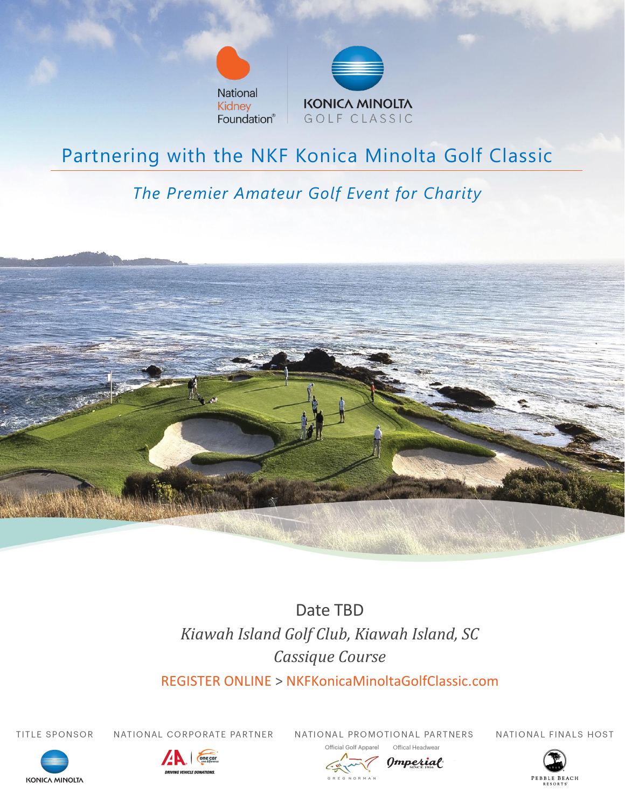



# Partnering with the NKF Konica Minolta Golf Classic

# *The Premier Amateur Golf Event for Charity*



Date TBD *Kiawah Island Golf Club, Kiawah Island, SC Cassique Course*

REGISTER ONLINE > NKFKonicaMinoltaGolfClassic.com

TITLE SPONSOR

NATIONAL CORPORATE PARTNER

NATIONAL PROMOTIONAL PARTNERS Annarel

NATIONAL FINALS HOST









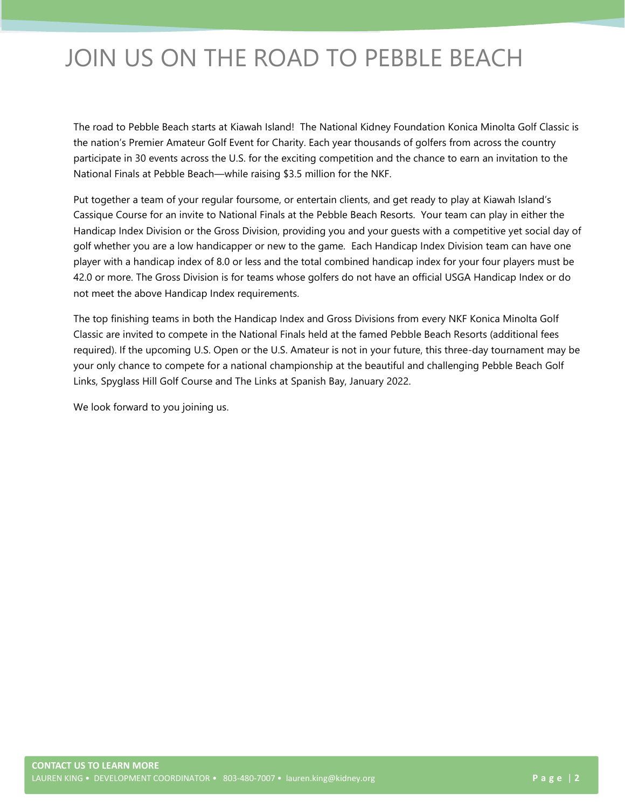# JOIN US ON THE ROAD TO PEBBLE BEACH

The road to Pebble Beach starts at Kiawah Island! The National Kidney Foundation Konica Minolta Golf Classic is the nation's Premier Amateur Golf Event for Charity. Each year thousands of golfers from across the country participate in 30 events across the U.S. for the exciting competition and the chance to earn an invitation to the National Finals at Pebble Beach—while raising \$3.5 million for the NKF.

Put together a team of your regular foursome, or entertain clients, and get ready to play at Kiawah Island's Cassique Course for an invite to National Finals at the Pebble Beach Resorts. Your team can play in either the Handicap Index Division or the Gross Division, providing you and your guests with a competitive yet social day of golf whether you are a low handicapper or new to the game. Each Handicap Index Division team can have one player with a handicap index of 8.0 or less and the total combined handicap index for your four players must be 42.0 or more. The Gross Division is for teams whose golfers do not have an official USGA Handicap Index or do not meet the above Handicap Index requirements.

The top finishing teams in both the Handicap Index and Gross Divisions from every NKF Konica Minolta Golf Classic are invited to compete in the National Finals held at the famed Pebble Beach Resorts (additional fees required). If the upcoming U.S. Open or the U.S. Amateur is not in your future, this three-day tournament may be your only chance to compete for a national championship at the beautiful and challenging Pebble Beach Golf Links, Spyglass Hill Golf Course and The Links at Spanish Bay, January 2022.

We look forward to you joining us.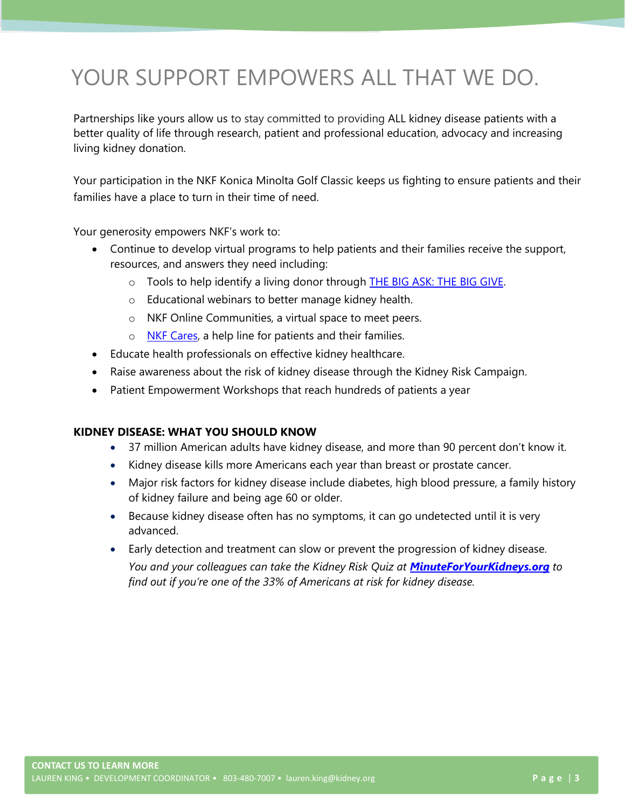# YOUR SUPPORT EMPOWERS ALL THAT WE DO.

Partnerships like yours allow us to stay committed to providing ALL kidney disease patients with a better quality of life through research, patient and professional education, advocacy and increasing living kidney donation.

Your participation in the NKF Konica Minolta Golf Classic keeps us fighting to ensure patients and their families have a place to turn in their time of need.

Your generosity empowers NKF's work to:

- Continue to develop virtual programs to help patients and their families receive the support, resources, and answers they need including:
	- $\circ$  Tools to help identify a living donor through **THE BIG ASK: THE BIG GIVE.**
	- o Educational webinars to better manage kidney health.
	- o NKF Online Communities, a virtual space to meet peers.
	- o [NKF Cares,](https://www.kidney.org/nkfcares) a help line for patients and their families.
- Educate health professionals on effective kidney healthcare.
- Raise awareness about the risk of kidney disease through the Kidney Risk Campaign.
- Patient Empowerment Workshops that reach hundreds of patients a year

#### **KIDNEY DISEASE: WHAT YOU SHOULD KNOW**

- 37 million American adults have kidney disease, and more than 90 percent don't know it.
- Kidney disease kills more Americans each year than breast or prostate cancer.
- Major risk factors for kidney disease include diabetes, high blood pressure, a family history of kidney failure and being age 60 or older.
- Because kidney disease often has no symptoms, it can go undetected until it is very advanced.
- Early detection and treatment can slow or prevent the progression of kidney disease.

*You and your colleagues can take the Kidney Risk Quiz at [MinuteForYourKidneys.org](file:///C:/Users/lauren.king/Downloads/MinuteForYourKidneys.org) to find out if you're one of the 33% of Americans at risk for kidney disease.*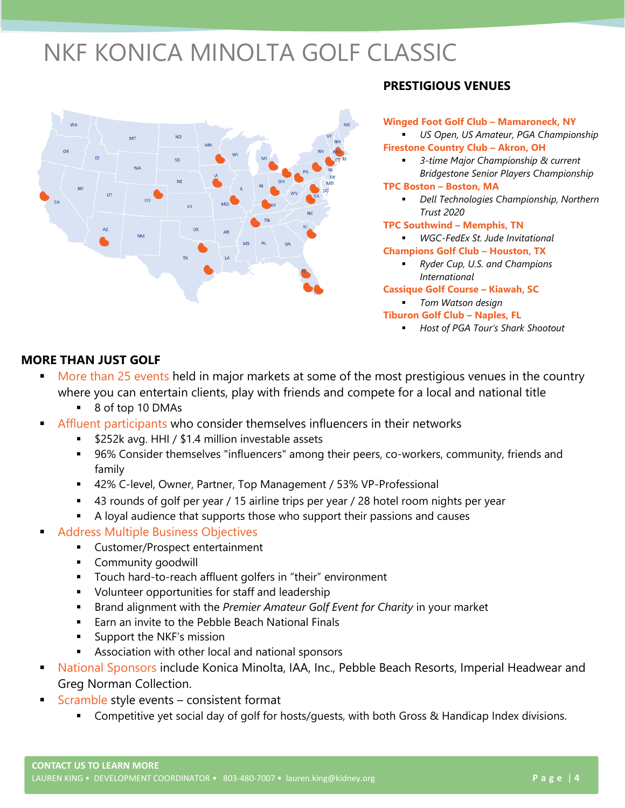# NKF KONICA MINOLTA GOLF CLASSIC



# **PRESTIGIOUS VENUES**

**Winged Foot Golf Club – Mamaroneck, NY** US Open, US Amateur, PGA Championship **Firestone Country Club – Akron, OH** ▪ *3-time Major Championship & current Bridgestone Senior Players Championship* **TPC Boston – Boston, MA** ▪ *Dell Technologies Championship, Northern Trust 2020* **TPC Southwind – Memphis, TN** ▪ *WGC-FedEx St. Jude Invitational* **Champions Golf Club – Houston, TX**

▪ *Ryder Cup, U.S. and Champions International* 

**Cassique Golf Course – Kiawah, SC** ▪ *Tom Watson design*

- **Tiburon Golf Club – Naples, FL**
	- *Host of PGA Tour's Shark Shootout*

# **MORE THAN JUST GOLF**

- More than 25 events held in major markets at some of the most prestigious venues in the country where you can entertain clients, play with friends and compete for a local and national title
	- 8 of top 10 DMAs
- Affluent participants who consider themselves influencers in their networks
	- \$252k avg. HHI / \$1.4 million investable assets
	- 96% Consider themselves "influencers" among their peers, co-workers, community, friends and family
	- 42% C-level, Owner, Partner, Top Management / 53% VP-Professional
	- 43 rounds of golf per year / 15 airline trips per year / 28 hotel room nights per year
	- A loyal audience that supports those who support their passions and causes
- Address Multiple Business Objectives
	- Customer/Prospect entertainment
	- Community goodwill
	- Touch hard-to-reach affluent golfers in "their" environment
	- Volunteer opportunities for staff and leadership
	- Brand alignment with the *Premier Amateur Golf Event for Charity* in your market
	- Earn an invite to the Pebble Beach National Finals
	- Support the NKF's mission
	- Association with other local and national sponsors
- National Sponsors include Konica Minolta, IAA, Inc., Pebble Beach Resorts, Imperial Headwear and Greg Norman Collection.
- $Scramble$  style events consistent format
	- Competitive yet social day of golf for hosts/guests, with both Gross & Handicap Index divisions.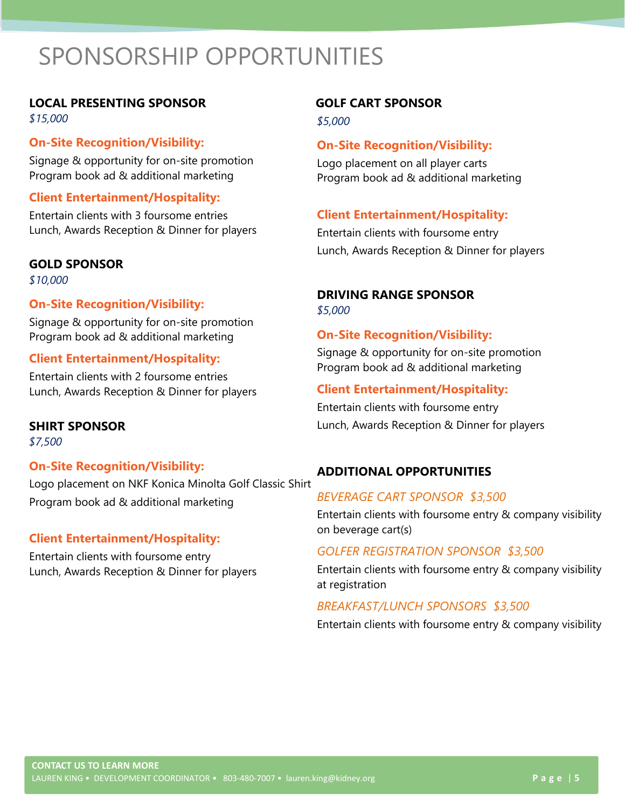# SPONSORSHIP OPPORTUNITIES

### **LOCAL PRESENTING SPONSOR**

*\$15,000* 

### **On-Site Recognition/Visibility:**

• Signage & opportunity for on-site promotion • Program book ad & additional marketing

### **Client Entertainment/Hospitality:**

• Entertain clients with 3 foursome entries • Lunch, Awards Reception & Dinner for players

### **GOLD SPONSOR**

*\$10,000*

# **On-Site Recognition/Visibility:**

• Signage & opportunity for on-site promotion • Program book ad & additional marketing

### **Client Entertainment/Hospitality:**

• Entertain clients with 2 foursome entries • Lunch, Awards Reception & Dinner for players

**SHIRT SPONSOR** *\$7,500*

# **On-Site Recognition/Visibility:**

• Logo placement on NKF Konica Minolta Golf Classic Shirt • Program book ad & additional marketing

#### **Client Entertainment/Hospitality:**

Entertain clients with foursome entry • Lunch, Awards Reception & Dinner for players

# **GOLF CART SPONSOR**

*\$5,000*

### **On-Site Recognition/Visibility:**

Logo placement on all player carts • Program book ad & additional marketing

# **Client Entertainment/Hospitality:**

• Entertain clients with foursome entry • Lunch, Awards Reception & Dinner for players

# **DRIVING RANGE SPONSOR**

*\$5,000*

#### **On-Site Recognition/Visibility:**

• Signage & opportunity for on-site promotion • Program book ad & additional marketing

### **Client Entertainment/Hospitality:**

• Entertain clients with foursome entry • Lunch, Awards Reception & Dinner for players

# **ADDITIONAL OPPORTUNITIES**

### *BEVERAGE CART SPONSOR \$3,500*

Entertain clients with foursome entry & company visibility on beverage cart(s)

#### *GOLFER REGISTRATION SPONSOR \$3,500*

• Entertain clients with foursome entry & company visibility at registration

# *BREAKFAST/LUNCH SPONSORS \$3,500*

• Entertain clients with foursome entry & company visibility